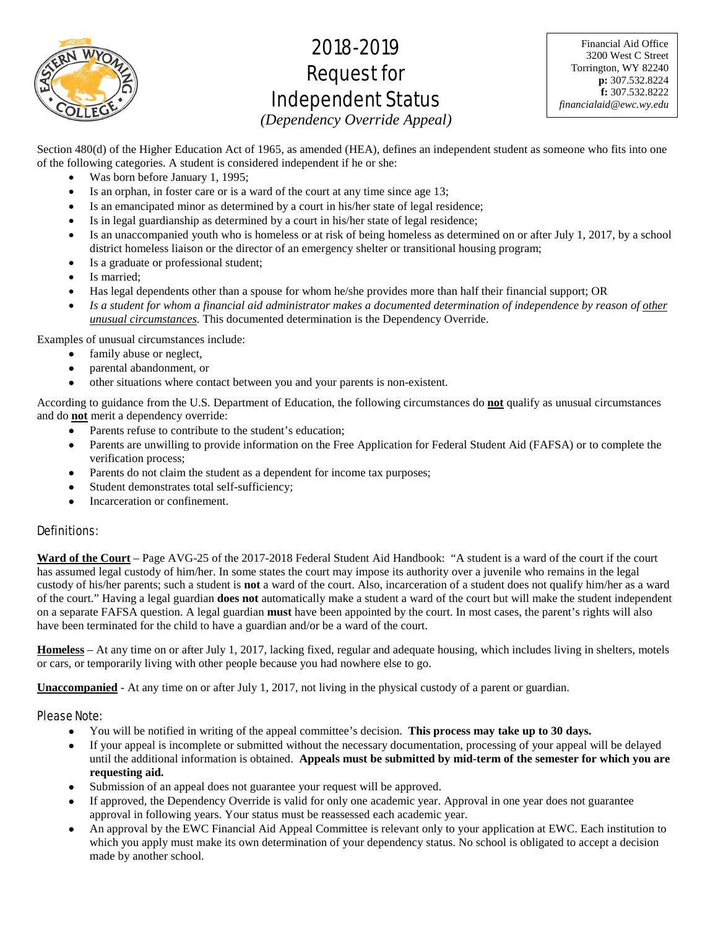

# 2018-2019 Request for Independent Status

Financial Aid Office 3200 West C Street Torrington, WY 82240 **p:** 307.532.8224 **f:** 307.532.8222 *financialaid@ewc.wy.edu*

*(Dependency Override Appeal)* 

Section 480(d) of the Higher Education Act of 1965, as amended (HEA), defines an independent student as someone who fits into one of the following categories. A student is considered independent if he or she:

- Was born before January 1, 1995;
- Is an orphan, in foster care or is a ward of the court at any time since age 13;
- Is an emancipated minor as determined by a court in his/her state of legal residence;
- Is in legal guardianship as determined by a court in his/her state of legal residence;
- Is an unaccompanied youth who is homeless or at risk of being homeless as determined on or after July 1, 2017, by a school district homeless liaison or the director of an emergency shelter or transitional housing program;
- Is a graduate or professional student;
- Is married:
- Has legal dependents other than a spouse for whom he/she provides more than half their financial support; OR
- *Is a student for whom a financial aid administrator makes a documented determination of independence by reason of other unusual circumstances.* This documented determination is the Dependency Override.

Examples of unusual circumstances include:

- family abuse or neglect,
- parental abandonment, or
- other situations where contact between you and your parents is non-existent.

According to guidance from the U.S. Department of Education, the following circumstances do **not** qualify as unusual circumstances and do **not** merit a dependency override:

- Parents refuse to contribute to the student's education;
- Parents are unwilling to provide information on the Free Application for Federal Student Aid (FAFSA) or to complete the verification process;
- Parents do not claim the student as a dependent for income tax purposes;
- Student demonstrates total self-sufficiency;
- Incarceration or confinement.

## Definitions:

**Ward of the Court** – Page AVG-25 of the 2017-2018 Federal Student Aid Handbook: "A student is a ward of the court if the court has assumed legal custody of him/her. In some states the court may impose its authority over a juvenile who remains in the legal custody of his/her parents; such a student is **not** a ward of the court. Also, incarceration of a student does not qualify him/her as a ward of the court." Having a legal guardian **does not** automatically make a student a ward of the court but will make the student independent on a separate FAFSA question. A legal guardian **must** have been appointed by the court. In most cases, the parent's rights will also have been terminated for the child to have a guardian and/or be a ward of the court.

**Homeless** – At any time on or after July 1, 2017, lacking fixed, regular and adequate housing, which includes living in shelters, motels or cars, or temporarily living with other people because you had nowhere else to go.

**Unaccompanied** - At any time on or after July 1, 2017, not living in the physical custody of a parent or guardian.

## Please Note:

- You will be notified in writing of the appeal committee's decision. **This process may take up to 30 days.**
- If your appeal is incomplete or submitted without the necessary documentation, processing of your appeal will be delayed until the additional information is obtained. **Appeals must be submitted by mid-term of the semester for which you are requesting aid.**
- Submission of an appeal does not guarantee your request will be approved.
- If approved, the Dependency Override is valid for only one academic year. Approval in one year does not guarantee approval in following years. Your status must be reassessed each academic year.
- An approval by the EWC Financial Aid Appeal Committee is relevant only to your application at EWC. Each institution to which you apply must make its own determination of your dependency status. No school is obligated to accept a decision made by another school.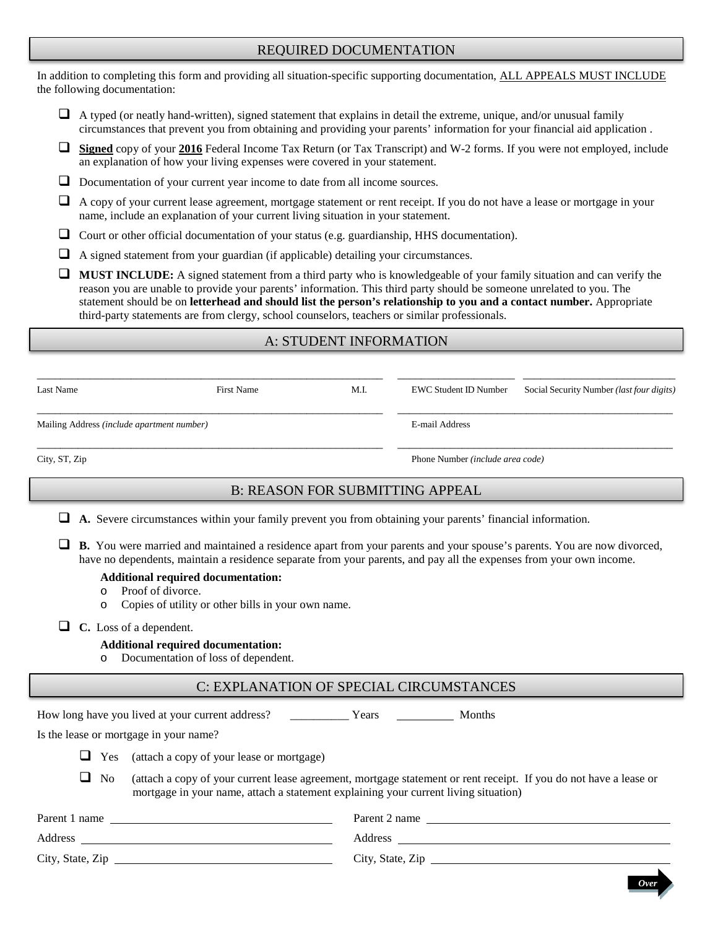# REQUIRED DOCUMENTATION

In addition to completing this form and providing all situation-specific supporting documentation, ALL APPEALS MUST INCLUDE the following documentation:

- $\Box$  A typed (or neatly hand-written), signed statement that explains in detail the extreme, unique, and/or unusual family circumstances that prevent you from obtaining and providing your parents' information for your financial aid application .
- **Signed** copy of your **2016** Federal Income Tax Return (or Tax Transcript) and W-2 forms. If you were not employed, include an explanation of how your living expenses were covered in your statement.
- Documentation of your current year income to date from all income sources.
- $\Box$  A copy of your current lease agreement, mortgage statement or rent receipt. If you do not have a lease or mortgage in your name, include an explanation of your current living situation in your statement.
- $\Box$  Court or other official documentation of your status (e.g. guardianship, HHS documentation).
- $\Box$  A signed statement from your guardian (if applicable) detailing your circumstances.
- **MUST INCLUDE:** A signed statement from a third party who is knowledgeable of your family situation and can verify the reason you are unable to provide your parents' information. This third party should be someone unrelated to you. The statement should be on **letterhead and should list the person's relationship to you and a contact number.** Appropriate third-party statements are from clergy, school counselors, teachers or similar professionals.

# A: STUDENT INFORMATION

| Last Name                                  | First Name | M.I. | EWC Student ID Number                   | Social Security Number ( <i>last four digits</i> ) |
|--------------------------------------------|------------|------|-----------------------------------------|----------------------------------------------------|
| Mailing Address (include apartment number) |            |      | E-mail Address                          |                                                    |
| City, ST, Zip                              |            |      | Phone Number <i>(include area code)</i> |                                                    |

# B: REASON FOR SUBMITTING APPEAL

- **A.** Severe circumstances within your family prevent you from obtaining your parents' financial information.
- **B.** You were married and maintained a residence apart from your parents and your spouse's parents. You are now divorced, have no dependents, maintain a residence separate from your parents, and pay all the expenses from your own income.

#### **Additional required documentation:**

- o Proof of divorce.<br>  $\circ$  Copies of utility
- Copies of utility or other bills in your own name.

**C.** Loss of a dependent.

### **Additional required documentation:**

o Documentation of loss of dependent.

## C: EXPLANATION OF SPECIAL CIRCUMSTANCES

|                  | How long have you lived at your current address?                                                                                                                                                         | <b>Months</b><br>Years |  |
|------------------|----------------------------------------------------------------------------------------------------------------------------------------------------------------------------------------------------------|------------------------|--|
|                  | Is the lease or mortgage in your name?                                                                                                                                                                   |                        |  |
| $\Box$ Yes       | (attach a copy of your lease or mortgage)                                                                                                                                                                |                        |  |
| $\Box$ No        | (attach a copy of your current lease agreement, mortgage statement or rent receipt. If you do not have a lease or<br>mortgage in your name, attach a statement explaining your current living situation) |                        |  |
| Parent 1 name    |                                                                                                                                                                                                          | Parent 2 name          |  |
| Address          |                                                                                                                                                                                                          | Address                |  |
| City, State, Zip |                                                                                                                                                                                                          | City, State, Zip       |  |

*Over*